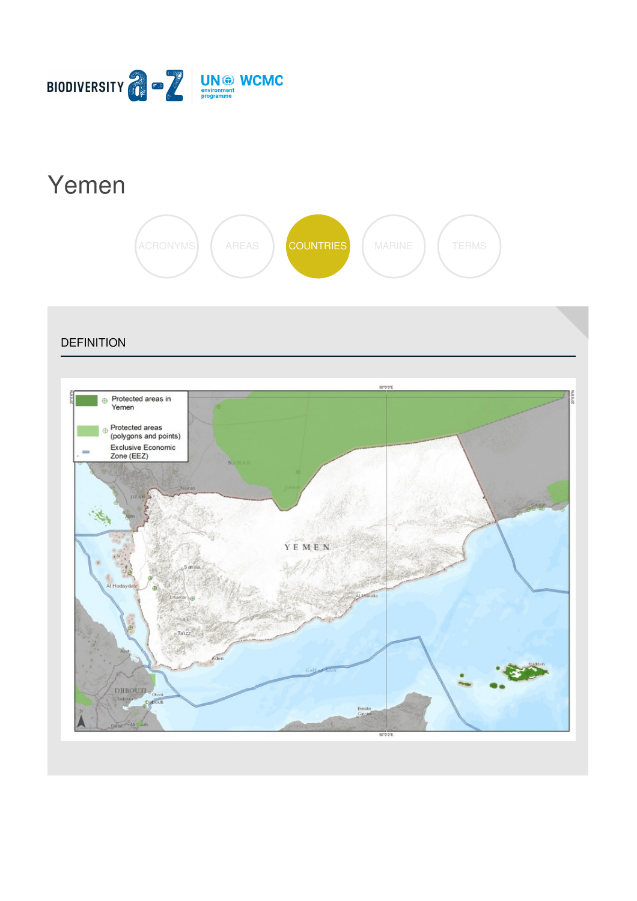

# [Yemen](https://biodiversitya-z.org/content/yemen)



**DEFINITION** 

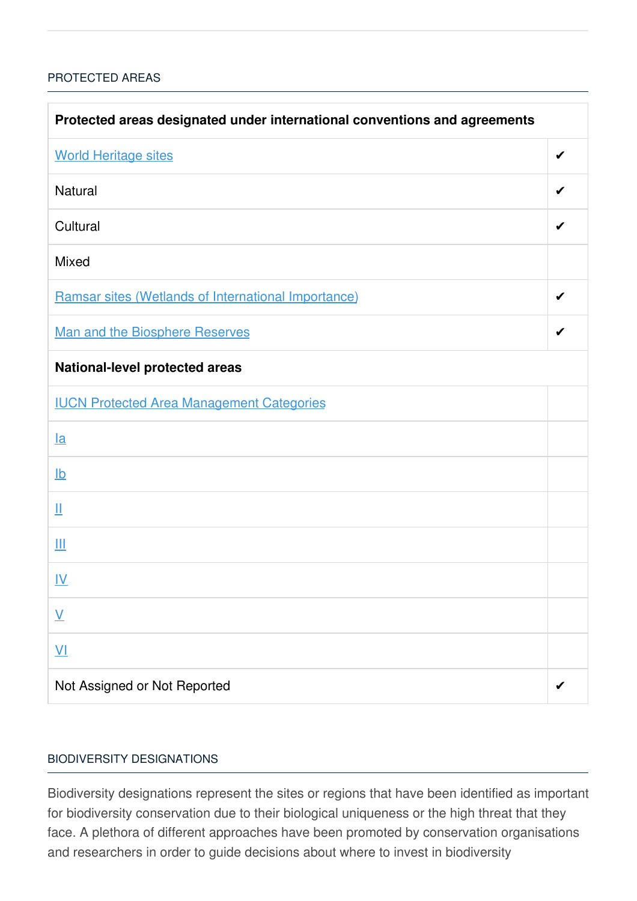### [PROTECTED](javascript:void(0)) AREAS

| Protected areas designated under international conventions and agreements |   |  |
|---------------------------------------------------------------------------|---|--|
| <b>World Heritage sites</b>                                               | ✔ |  |
| <b>Natural</b>                                                            | ✔ |  |
| Cultural                                                                  | ✔ |  |
| <b>Mixed</b>                                                              |   |  |
| Ramsar sites (Wetlands of International Importance)                       | ✔ |  |
| <b>Man and the Biosphere Reserves</b>                                     | ✔ |  |
| National-level protected areas                                            |   |  |
| <b>IUCN Protected Area Management Categories</b>                          |   |  |
| $l$ a                                                                     |   |  |
| $\underline{\mathsf{lb}}$                                                 |   |  |
| Щ                                                                         |   |  |
| Ш                                                                         |   |  |
| <u>IV</u>                                                                 |   |  |
| $\underline{\mathsf{V}}$                                                  |   |  |
| $\underline{V}$                                                           |   |  |
| Not Assigned or Not Reported                                              |   |  |

#### BIODIVERSITY [DESIGNATIONS](javascript:void(0))

Biodiversity designations represent the sites or regions that have been identified as important for biodiversity conservation due to their biological uniqueness or the high threat that they face. A plethora of different approaches have been promoted by conservation organisations and researchers in order to guide decisions about where to invest in biodiversity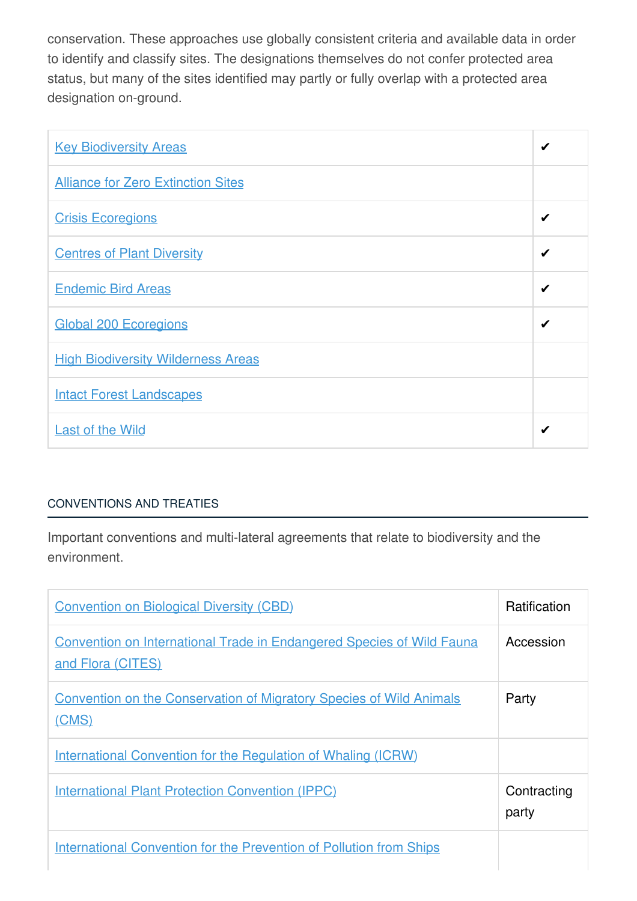conservation. These approaches use globally consistent criteria and available data in order to identify and classify sites. The designations themselves do not confer protected area status, but many of the sites identified may partly or fully overlap with a protected area designation on-ground.

| <b>Key Biodiversity Areas</b>             | ✔ |
|-------------------------------------------|---|
| <b>Alliance for Zero Extinction Sites</b> |   |
| <b>Crisis Ecoregions</b>                  | ✔ |
| <b>Centres of Plant Diversity</b>         | ✔ |
| <b>Endemic Bird Areas</b>                 | ✔ |
| <b>Global 200 Ecoregions</b>              |   |
| <b>High Biodiversity Wilderness Areas</b> |   |
| <b>Intact Forest Landscapes</b>           |   |
| <b>Last of the Wild</b>                   | ✔ |

## [CONVENTIONS](javascript:void(0)) AND TREATIES

Important conventions and multi-lateral agreements that relate to biodiversity and the environment.

| <b>Convention on Biological Diversity (CBD)</b>                                                   | <b>Ratification</b>  |
|---------------------------------------------------------------------------------------------------|----------------------|
| <b>Convention on International Trade in Endangered Species of Wild Fauna</b><br>and Flora (CITES) | Accession            |
| <b>Convention on the Conservation of Migratory Species of Wild Animals</b><br>(CMS)               | Party                |
| International Convention for the Regulation of Whaling (ICRW)                                     |                      |
| <b>International Plant Protection Convention (IPPC)</b>                                           | Contracting<br>party |
| <b>International Convention for the Prevention of Pollution from Ships</b>                        |                      |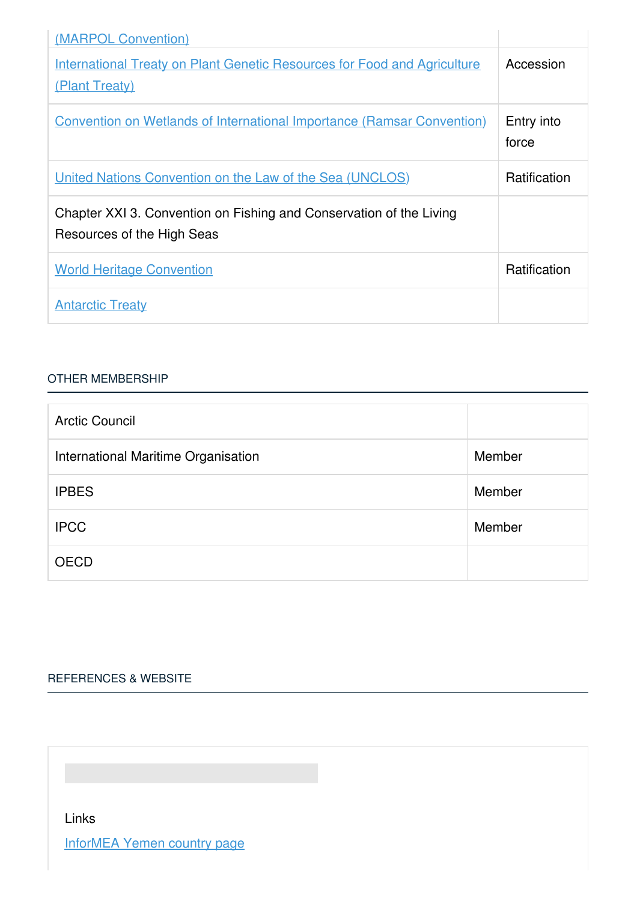| (MARPOL Convention)                                                                               |                     |
|---------------------------------------------------------------------------------------------------|---------------------|
| <b>International Treaty on Plant Genetic Resources for Food and Agriculture</b><br>(Plant Treaty) | Accession           |
| <b>Convention on Wetlands of International Importance (Ramsar Convention)</b>                     | Entry into<br>force |
| <u><b>United Nations Convention on the Law of the Sea (UNCLOS)</b></u>                            | <b>Ratification</b> |
| Chapter XXI 3. Convention on Fishing and Conservation of the Living<br>Resources of the High Seas |                     |
| <b>World Heritage Convention</b>                                                                  | Ratification        |
| <b>Antarctic Treaty</b>                                                                           |                     |

#### OTHER [MEMBERSHIP](javascript:void(0))

| <b>Arctic Council</b>               |        |
|-------------------------------------|--------|
| International Maritime Organisation | Member |
| <b>IPBES</b>                        | Member |
| <b>IPCC</b>                         | Member |
| <b>OECD</b>                         |        |

# [REFERENCES](javascript:void(0)) & WEBSITE

Links

[InforMEA](https://www.informea.org/countries/ye) Yemen country page